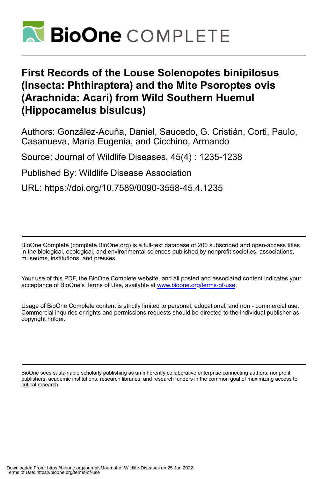

## **First Records of the Louse Solenopotes binipilosus (Insecta: Phthiraptera) and the Mite Psoroptes ovis (Arachnida: Acari) from Wild Southern Huemul (Hippocamelus bisulcus)**

Authors: González-Acuña, Daniel, Saucedo, G. Cristián, Corti, Paulo, Casanueva, María Eugenia, and Cicchino, Armando

Source: Journal of Wildlife Diseases, 45(4) : 1235-1238

Published By: Wildlife Disease Association

URL: https://doi.org/10.7589/0090-3558-45.4.1235

BioOne Complete (complete.BioOne.org) is a full-text database of 200 subscribed and open-access titles in the biological, ecological, and environmental sciences published by nonprofit societies, associations, museums, institutions, and presses.

Your use of this PDF, the BioOne Complete website, and all posted and associated content indicates your acceptance of BioOne's Terms of Use, available at www.bioone.org/terms-of-use.

Usage of BioOne Complete content is strictly limited to personal, educational, and non - commercial use. Commercial inquiries or rights and permissions requests should be directed to the individual publisher as copyright holder.

BioOne sees sustainable scholarly publishing as an inherently collaborative enterprise connecting authors, nonprofit publishers, academic institutions, research libraries, and research funders in the common goal of maximizing access to critical research.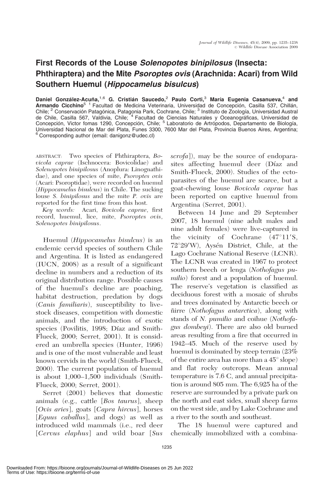## First Records of the Louse Solenopotes binipilosus (Insecta: Phthiraptera) and the Mite Psoroptes ovis (Arachnida: Acari) from Wild Southern Huemul (Hippocamelus bisulcus)

Daniel González-Acuña,<sup>1,6</sup> G. Cristián Saucedo,<sup>2</sup> Paulo Corti,<sup>3</sup> María Eugenia Casanueva,<sup>4</sup> and Armando Cicchino<sup>5 1</sup> Facultad de Medicina Veterinaria, Universidad de Concepción, Casilla 537, Chillán, Chile; <sup>2</sup> Conservación Patagónica, Patagonia Park, Cochrane, Chile; <sup>3</sup> Instituto de Zoología, Universidad Austral de Chile, Casilla 567, Valdivia, Chile; <sup>4</sup> Facultad de Ciencias Naturales y Oceanográficas, Universidad de Concepción, Victor fomas 1290, Concepción, Chile; <sup>5</sup> Laboratorio de Artrópodos, Departamento de Biología, Universidad Nacional de Mar del Plata, Funes 3300, 7600 Mar del Plata, Provincia Buenos Aires, Argentina;<br><sup>6</sup> Corresponding author (email: danigonz@udec.cl)

ABSTRACT: Two species of Phthiraptera, Bovicola caprae (Ischnocera: Bovicolidae) and Solenopotes binipilosus (Anoplura: Linognathidae), and one species of mite, Psoroptes ovis (Acari: Psoroptidae), were recorded on huemul (Hippocamelus bisulcus) in Chile. The sucking louse S. binipilosus and the mite P. ovis are reported for the first time from this host.

Key words: Acari, Bovicola caprae, first record, huemul, lice, mite, Psoroptes ovis, Solenopotes binipilosus.

Huemul (Hippocamelus bisulcus) is an endemic cervid species of southern Chile and Argentina. It is listed as endangered (IUCN, 2008) as a result of a significant decline in numbers and a reduction of its original distribution range. Possible causes of the huemul's decline are poaching, habitat destruction, predation by dogs (Canis familiaris), susceptibility to livestock diseases, competition with domestic animals, and the introduction of exotic species (Povilitis, 1998; Díaz and Smith-Flueck, 2000; Serret, 2001). It is considered an umbrella species (Hunter, 1996) and is one of the most vulnerable and least known cervids in the world (Smith-Flueck, 2000). The current population of huemul is about 1,000–1,500 individuals (Smith-Flueck, 2000; Serret, 2001).

Serret (2001) believes that domestic animals (e.g., cattle [Bos taurus], sheep [Ovis aries], goats [Capra hircus], horses [Equus caballus], and dogs) as well as introduced wild mammals (i.e., red deer [Cervus elaphus] and wild boar [Sus scrofa]), may be the source of endoparasites affecting huemul deer (Díaz and Smith-Flueck, 2000). Studies of the ectoparasites of the huemul are scarce, but a goat-chewing louse Bovicola caprae has been reported on captive huemul from Argentina (Serret, 2001).

Between 14 June and 29 September 2007, 18 huemul (nine adult males and nine adult females) were live-captured in the vicinity of Cochrane  $(47^{\circ}11^{\prime}s,$  $72^{\circ}29'$ W), Aysén District, Chile, at the Lago Cochrane National Reserve (LCNR). The LCNR was created in 1967 to protect southern beech or lenga (Nothofagus pumilio) forest and a population of huemul. The reserve's vegetation is classified as deciduous forest with a mosaic of shrubs and trees dominated by Antarctic beech or numitive (Nothofagus antarctica), along with stands of N. *pumilio* and coihue (Nothofagus dombeyi). There are also old burned areas resulting from a fire that occurred in 1942–45. Much of the reserve used by huemul is dominated by steep terrain (23% of the entire area has more than a  $45^{\circ}$  slope) and flat rocky outcrops. Mean annual temperature is 7.6 C, and annual precipitation is around 805 mm. The 6,925 ha of the reserve are surrounded by a private park on the north and east sides, small sheep farms on the west side, and by Lake Cochrane and a river to the south and southeast.

The 18 huemul were captured and chemically immobilized with a combina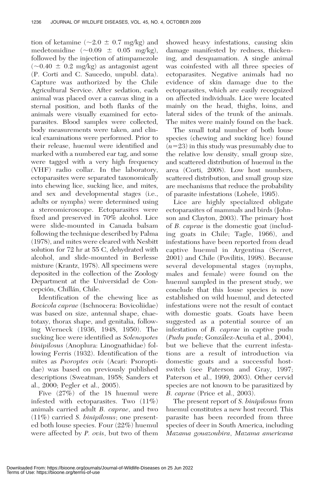tion of ketamine ( $\sim$ 2.0  $\pm$  0.7 mg/kg) and medetomidine  $(\sim 0.09 \pm 0.05 \text{ mg/kg})$ , followed by the injection of atimpamezole  $(\sim 0.40 \pm 0.2 \text{ mg/kg})$  as antagonist agent (P. Corti and C. Saucedo, unpubl. data). Capture was authorized by the Chile Agricultural Service. After sedation, each animal was placed over a canvas sling in a sternal position, and both flanks of the animals were visually examined for ectoparasites. Blood samples were collected, body measurements were taken, and clinical examinations were performed. Prior to their release, huemul were identified and marked with a numbered ear tag, and some were tagged with a very high frequency (VHF) radio collar. In the laboratory, ectoparasites were separated taxonomically into chewing lice, sucking lice, and mites, and sex and developmental stages (i.e., adults or nymphs) were determined using a stereomicroscope. Ectoparasites were fixed and preserved in 70% alcohol. Lice were slide-mounted in Canada balsam following the technique described by Palma (1978), and mites were cleared with Nesbitt solution for 72 hr at 55 C, dehydrated with alcohol, and slide-mounted in Berlesse mixture (Krantz, 1978). All specimens were deposited in the collection of the Zoology Department at the Universidad de Concepción, Chillán, Chile.

Identification of the chewing lice as Bovicola caprae (Ischnocera: Bovicoliidae) was based on size, antennal shape, chaetotaxy, thorax shape, and genitalia, following Werneck (1936, 1948, 1950). The sucking lice were identified as Solenopotes binipilosus (Anoplura: Linognathidae) following Ferris (1932). Identification of the mites as Psoroptes ovis (Acari: Psoroptidae) was based on previously published descriptions (Sweatman, 1958; Sanders et al., 2000; Pegler et al., 2005).

Five (27%) of the 18 huemul were infested with ectoparasites. Two (11%) animals carried adult B. caprae, and two  $(11\%)$  carried *S. binipilosus*; one presented both louse species. Four (22%) huemul were affected by *P. ovis*, but two of them showed heavy infestations, causing skin damage manifested by redness, thickening, and desquamation. A single animal was coinfested with all three species of ectoparasites. Negative animals had no evidence of skin damage due to the ectoparasites, which are easily recognized on affected individuals. Lice were located mainly on the head, thighs, loins, and lateral sides of the trunk of the animals. The mites were mainly found on the back.

The small total number of both louse species (chewing and sucking lice) found  $(n=23)$  in this study was presumably due to the relative low density, small group size, and scattered distribution of huemul in the area (Corti, 2008). Low host numbers, scattered distribution, and small group size are mechanisms that reduce the probability of parasite infestations (Lohele, 1995).

Lice are highly specialized obligate ectoparasites of mammals and birds (Johnson and Clayton, 2003). The primary host of B. caprae is the domestic goat (including goats in Chile; Tagle, 1966), and infestations have been reported from dead captive huemul in Argentina (Serret, 2001) and Chile (Povilitis, 1998). Because several developmental stages (nymphs, males and female) were found on the huemul sampled in the present study, we conclude that this louse species is now established on wild huemul, and detected infestations were not the result of contact with domestic goats. Goats have been suggested as a potential source of an infestation of B. caprae in captive pudu (Pudu puda; González-Acuña et al., 2004), but we believe that the current infestations are a result of introduction via domestic goats and a successful hostswitch (see Paterson and Gray, 1997; Paterson et al., 1999, 2003). Other cervid species are not known to be parasitized by B. caprae (Price et al., 2003).

The present report of *S. binipilosus* from huemul constitutes a new host record. This parasite has been recorded from three species of deer in South America, including Mazama gouazoubira, Mazama americana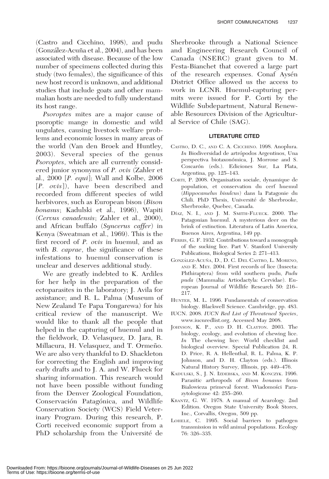(Castro and Cicchino, 1998), and pudu (González-Acuña et al., 2004), and has been associated with disease. Because of the low number of specimens collected during this study (two females), the significance of this new host record is unknown, and additional studies that include goats and other mammalian hosts are needed to fully understand its host range.

Psoroptes mites are a major cause of psoroptic mange in domestic and wild ungulates, causing livestock welfare problems and economic losses in many areas of the world (Van den Broek and Huntley, 2003). Several species of the genus Psoroptes, which are all currently considered junior synonyms of P. ovis (Zahler et al., 2000 [P. equi]; Wall and Kolbe, 2006 [P. ovis]), have been described and recorded from different species of wild herbivores, such as European bison (Bison bonasus; Kadulski et al., 1996), Wapiti (Cervus canadensis; Zahler et al., 2000), and African buffalo (Syncerus caffer) in Kenya (Sweatman et al., 1969). This is the first record of P. ovis in huemul, and as with *B. caprae*, the significance of these infestations to huemul conservation is unclear and deserves additional study.

We are greatly indebted to K. Ardiles for her help in the preparation of the ectoparasites in the laboratory; J. Avila for assistance; and R. L. Palma (Museum of New Zealand Te Papa Tongarewa) for his critical review of the manuscript. We would like to thank all the people that helped in the capturing of huemul and in the fieldwork, D. Velasquez, D. Jara, R. Millacura, H. Velasquez, and T. Ormeño. We are also very thankful to D. Shackleton for correcting the English and improving early drafts and to J. A. and W. Flueck for sharing information. This research would not have been possible without funding from the Denver Zoological Foundation, Conservación Patagónica, and Wildlife Conservation Society (WCS) Field Veterinary Program. During this research, P. Corti received economic support from a PhD scholarship from the Université de Sherbrooke through a National Science and Engineering Research Council of Canada (NSERC) grant given to M. Festa-Bianchet that covered a large part of the research expenses. Conaf Aysén District Office allowed us the access to work in LCNR. Huemul-capturing permits were issued for P. Corti by the Wildlife Subdepartment, Natural Renewable Resources Division of the Agricultural Service of Chile (SAG).

## LITERATURE CITED

- CASTRO, D. C., AND C. A. CICCHINO. 1998. Anoplura. In Biodiversidad de artrópodos Argentinos, Una perspectiva biotaxonómica, J. Morrone and S. Coscarón (eds.). Ediciones Sur, La Plata, Argentina, pp. 125–143.
- CORTI, P. 2008. Organisation sociale, dynamique de population, et conservation du cerf huemul (Hippocamelus bisulcus) dans la Patagonie du Chili. PhD Thesis, Université de Sherbrooke, Sherbrooke, Quebec, Canada.
- DÍAZ, N. I., AND J. M. SMITH-FLUECK. 2000. The Patagonian huemul. A mysterious deer on the brink of extinction. Literatura of Latin America, Buenos Aires, Argentina, 149 pp.
- FERRIS, G. F. 1932. Contributions toward a monograph of the sucking lice. Part V. Stanford University Publications, Biological Series 2: 271–413.
- GONZÁLEZ-ACUÑA, D., D. C. DEL CASTRO, L. MORENO, AND E. MEY. 2004. First records of lice (Insecta: Phthiraptera) from wild southern pudu, Pudu puda (Mammalia: Artiodactyla: Cervidae). European Journal of Wildlife Research 50: 216– 217.
- HUNTER, M. L. 1996. Fundamentals of conservation biology. Blackwell Science. Cambridge, pp. 483.
- IUCN. 2008. IUCN Red List of Threatened Species, www.iucnredlist.org. Accessed May 2008.
- JOHNSON, K. P., AND D. H. CLAYTON. 2003. The biology, ecology, and evolution of chewing lice. In The chewing lice: World checklist and biological overview. Special Publication 24, R. D. Price, R. A. Hellenthal, R. L. Palma, K. P. Johnson, and D. H. Clayton (eds.). Illinois Natural History Survey, Illinois, pp. 449–476.
- KADULSKI, S., J. N. IZDEBSKA, AND M. KONCZYK. 1996. Parasitic arthropods of Bison bonasus from Bialowieza primeval forest. Wiadomości Parazytologiczne 42: 255–260.
- KRANTZ, G. W. 1978. A manual of Acarology. 2nd Edition. Oregon State University Book Stores, Inc., Corvallis, Oregon, 509 pp.
- LOHELE, C. 1995. Social barriers to pathogen transmission in wild animal populations. Ecology 76: 326–335.